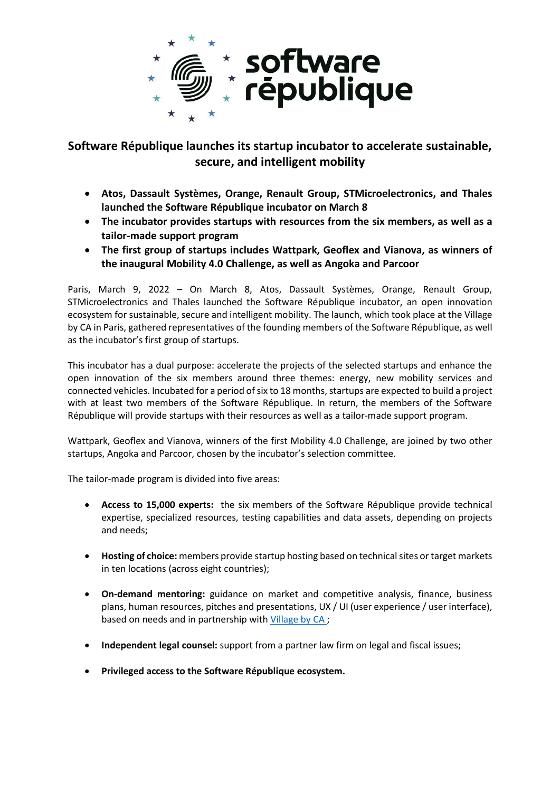

# **Software République launches its startup incubator to accelerate sustainable, secure, and intelligent mobility**

- **Atos, Dassault Systèmes, Orange, Renault Group, STMicroelectronics, and Thales launched the Software République incubator on March 8**
- **The incubator provides startups with resources from the six members, as well as a tailor-made support program**
- **The first group of startups includes Wattpark, Geoflex and Vianova, as winners of the inaugural Mobility 4.0 Challenge, as well as Angoka and Parcoor**

Paris, March 9, 2022 – On March 8, Atos, Dassault Systèmes, Orange, Renault Group, STMicroelectronics and Thales launched the Software République incubator, an open innovation ecosystem for sustainable, secure and intelligent mobility. The launch, which took place at the Village by CA in Paris, gathered representatives of the founding members of the Software République, as well as the incubator's first group of startups.

This incubator has a dual purpose: accelerate the projects of the selected startups and enhance the open innovation of the six members around three themes: energy, new mobility services and connected vehicles. Incubated for a period of six to 18 months, startups are expected to build a project with at least two members of the Software République. In return, the members of the Software République will provide startups with their resources as well as a tailor-made support program.

Wattpark, Geoflex and Vianova, winners of the first Mobility 4.0 Challenge, are joined by two other startups, Angoka and Parcoor, chosen by the incubator's selection committee.

The tailor-made program is divided into five areas:

- **Access to 15,000 experts:** the six members of the Software République provide technical expertise, specialized resources, testing capabilities and data assets, depending on projects and needs;
- **Hosting of choice:** members provide startup hosting based on technical sites or target markets in ten locations (across eight countries);
- **On-demand mentoring:** guidance on market and competitive analysis, finance, business plans, human resources, pitches and presentations, UX / UI (user experience / user interface), based on needs and in partnership wit[h Village by CA](https://levillagebyca.com/) ;
- **Independent legal counsel:** support from a partner law firm on legal and fiscal issues;
- **Privileged access to the Software République ecosystem.**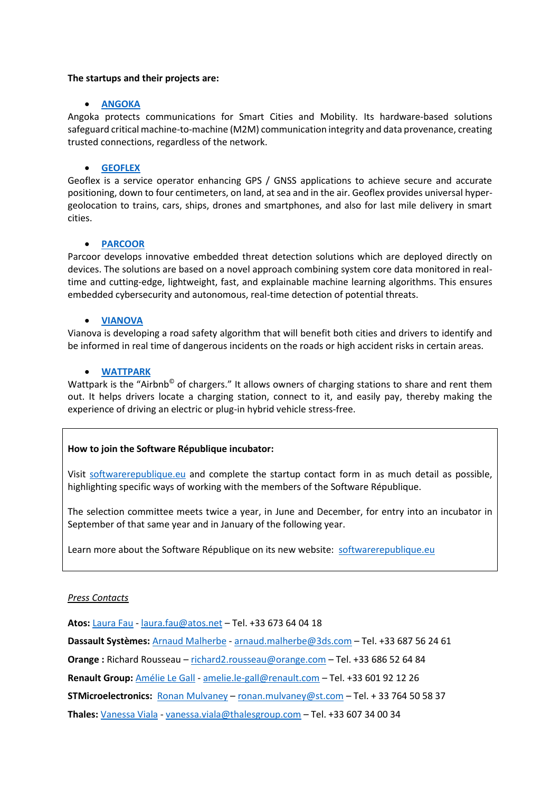### **The startups and their projects are:**

# • **[ANGOKA](https://angoka.io/)**

Angoka protects communications for Smart Cities and Mobility. Its hardware-based solutions safeguard critical machine-to-machine (M2M) communication integrity and data provenance, creating trusted connections, regardless of the network.

# • **[GEOFLEX](https://www.youtube.com/watch?v=6sX_LFtao0o)**

Geoflex is a service operator enhancing GPS / GNSS applications to achieve secure and accurate positioning, down to four centimeters, on land, at sea and in the air. Geoflex provides universal hypergeolocation to trains, cars, ships, drones and smartphones, and also for last mile delivery in smart cities.

# • **[PARCOOR](https://parcoor.com/)**

Parcoor develops innovative embedded threat detection solutions which are deployed directly on devices. The solutions are based on a novel approach combining system core data monitored in realtime and cutting-edge, lightweight, fast, and explainable machine learning algorithms. This ensures embedded cybersecurity and autonomous, real-time detection of potential threats.

# • **[VIANOVA](https://www.youtube.com/watch?v=lQL_RKh4ouo)**

Vianova is developing a road safety algorithm that will benefit both cities and drivers to identify and be informed in real time of dangerous incidents on the roads or high accident risks in certain areas.

# • **[WATTPARK](https://www.youtube.com/watch?v=HLNEwL6_Qi8)**

Wattpark is the "Airbnb<sup>®</sup> of chargers." It allows owners of charging stations to share and rent them out. It helps drivers locate a charging station, connect to it, and easily pay, thereby making the experience of driving an electric or plug-in hybrid vehicle stress-free.

# **How to join the Software République incubator:**

Visit [softwarerepublique.eu](http://www.softwarerepublique.eu/) and complete the startup contact form in as much detail as possible, highlighting specific ways of working with the members of the Software République.

The selection committee meets twice a year, in June and December, for entry into an incubator in September of that same year and in January of the following year.

Learn more about the Software République on its new website: [softwarerepublique.eu](http://www.softwarerepublique.eu/)

### *Press Contacts*

**Atos:** [Laura Fau](mailto:Laura%20Fau) - [laura.fau@atos.net](mailto:laura.fau@atos.net) – Tel. +33 673 64 04 18

**Dassault Systèmes:** [Arnaud Malherbe](mailto:Arnaud%20Malherbe) - [arnaud.malherbe@3ds.com](mailto:arnaud.malherbe@3ds.com) – Tel. +33 687 56 24 61

**Orange :** Richard Rousseau – [richard2.rousseau@orange.com](mailto:richard2.rousseau@orange.com) – Tel. +33 686 52 64 84

**Renault Group:** [Amélie Le Gall](mailto:Amélie%20Le%20Gall) - [amelie.le-gall@renault.com](mailto:amelie.le-gall@renault.com) – Tel. +33 601 92 12 26

**STMicroelectronics:** [Ronan Mulvaney](mailto:ronan.mulvaney@st.com) – [ronan.mulvaney@st.com](mailto:ronan.mulvaney@st.com) – Tel. + 33 764 50 58 37

**Thales:** [Vanessa Viala](mailto:Vanessa%20Viala) - [vanessa.viala@thalesgroup.com](mailto:vanessa.viala@thalesgroup.com) – Tel. +33 607 34 00 34